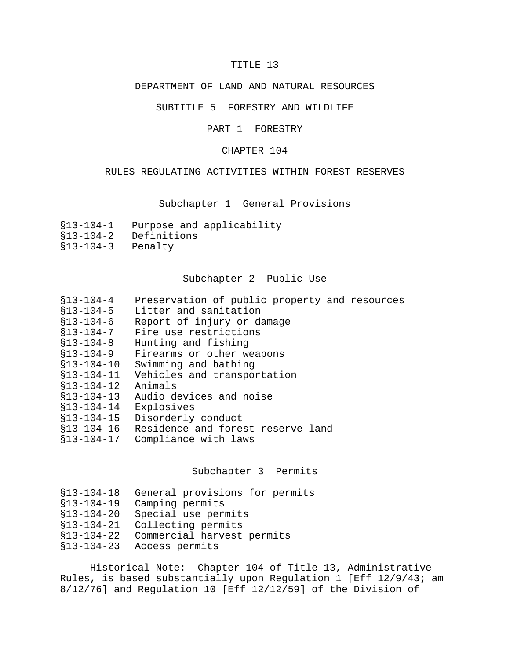# TITLE 13

## DEPARTMENT OF LAND AND NATURAL RESOURCES

### SUBTITLE 5 FORESTRY AND WILDLIFE

#### PART 1 FORESTRY

## CHAPTER 104

### RULES REGULATING ACTIVITIES WITHIN FOREST RESERVES

## Subchapter 1 General Provisions

- §13-104-1 Purpose and applicability
- §13-104-2 Definitions
- §13-104-3 Penalty

#### Subchapter 2 Public Use

- §13-104-4 Preservation of public property and resources
- Litter and sanitation
- §13-104-6 Report of injury or damage
- §13-104-7 Fire use restrictions
- §13-104-8 Hunting and fishing
- §13-104-9 Firearms or other weapons
- §13-104-10 Swimming and bathing
- §13-104-11 Vehicles and transportation
- §13-104-12 Animals
- §13-104-13 Audio devices and noise
- §13-104-14 Explosives
- §13-104-15 Disorderly conduct
- §13-104-16 Residence and forest reserve land
- §13-104-17 Compliance with laws

## Subchapter 3 Permits

| §13-104-18 General provisions for permits |  |  |  |
|-------------------------------------------|--|--|--|
|-------------------------------------------|--|--|--|

- §13-104-19 Camping permits
- §13-104-20 Special use permits
- §13-104-21 Collecting permits
- §13-104-22 Commercial harvest permits
- §13-104-23 Access permits

Historical Note: Chapter 104 of Title 13, Administrative Rules, is based substantially upon Regulation 1 [Eff 12/9/43; am 8/12/76] and Regulation 10 [Eff 12/12/59] of the Division of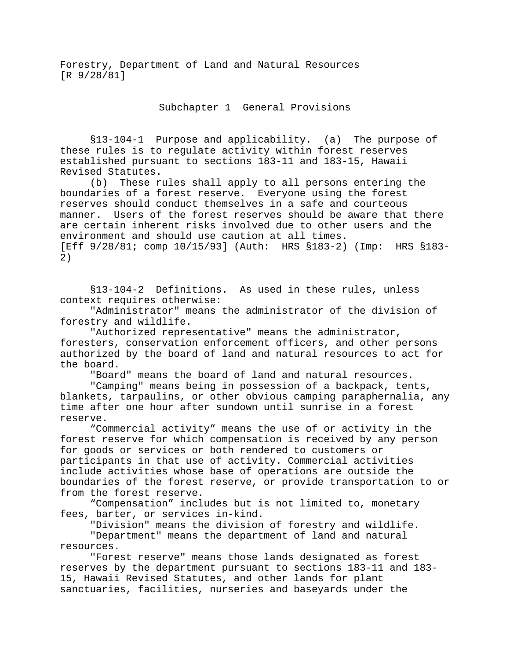Forestry, Department of Land and Natural Resources [R 9/28/81]

Subchapter 1 General Provisions

§13-104-1 Purpose and applicability. (a) The purpose of these rules is to regulate activity within forest reserves established pursuant to sections 183-11 and 183-15, Hawaii Revised Statutes.

(b) These rules shall apply to all persons entering the boundaries of a forest reserve. Everyone using the forest reserves should conduct themselves in a safe and courteous manner. Users of the forest reserves should be aware that there are certain inherent risks involved due to other users and the environment and should use caution at all times. [Eff 9/28/81; comp 10/15/93] (Auth: HRS §183-2) (Imp: HRS §183- 2)

§13-104-2 Definitions. As used in these rules, unless context requires otherwise:

"Administrator" means the administrator of the division of forestry and wildlife.

"Authorized representative" means the administrator, foresters, conservation enforcement officers, and other persons authorized by the board of land and natural resources to act for the board.

"Board" means the board of land and natural resources.

"Camping" means being in possession of a backpack, tents, blankets, tarpaulins, or other obvious camping paraphernalia, any time after one hour after sundown until sunrise in a forest reserve.

"Commercial activity" means the use of or activity in the forest reserve for which compensation is received by any person for goods or services or both rendered to customers or participants in that use of activity. Commercial activities include activities whose base of operations are outside the boundaries of the forest reserve, or provide transportation to or from the forest reserve.

"Compensation" includes but is not limited to, monetary fees, barter, or services in-kind.

"Division" means the division of forestry and wildlife. "Department" means the department of land and natural resources.

"Forest reserve" means those lands designated as forest reserves by the department pursuant to sections 183-11 and 183- 15, Hawaii Revised Statutes, and other lands for plant sanctuaries, facilities, nurseries and baseyards under the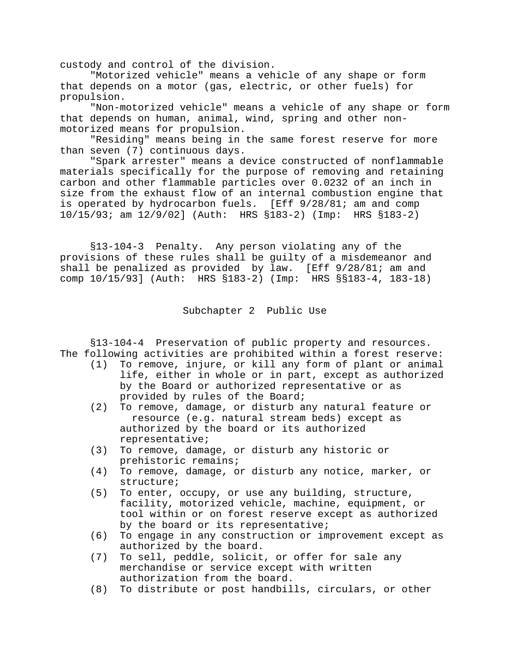custody and control of the division.

"Motorized vehicle" means a vehicle of any shape or form that depends on a motor (gas, electric, or other fuels) for propulsion.

"Non-motorized vehicle" means a vehicle of any shape or form that depends on human, animal, wind, spring and other nonmotorized means for propulsion.

"Residing" means being in the same forest reserve for more than seven (7) continuous days.

"Spark arrester" means a device constructed of nonflammable materials specifically for the purpose of removing and retaining carbon and other flammable particles over 0.0232 of an inch in size from the exhaust flow of an internal combustion engine that is operated by hydrocarbon fuels. [Eff 9/28/81; am and comp 10/15/93; am 12/9/02] (Auth: HRS §183-2) (Imp: HRS §183-2)

§13-104-3 Penalty. Any person violating any of the provisions of these rules shall be guilty of a misdemeanor and shall be penalized as provided by law. [Eff 9/28/81; am and comp 10/15/93] (Auth: HRS §183-2) (Imp: HRS §§183-4, 183-18)

Subchapter 2 Public Use

§13-104-4 Preservation of public property and resources. The following activities are prohibited within a forest reserve:

- (1) To remove, injure, or kill any form of plant or animal life, either in whole or in part, except as authorized by the Board or authorized representative or as provided by rules of the Board;
- (2) To remove, damage, or disturb any natural feature or resource (e.g. natural stream beds) except as authorized by the board or its authorized representative;
- (3) To remove, damage, or disturb any historic or prehistoric remains;
- (4) To remove, damage, or disturb any notice, marker, or structure;
- (5) To enter, occupy, or use any building, structure, facility, motorized vehicle, machine, equipment, or tool within or on forest reserve except as authorized by the board or its representative;
- (6) To engage in any construction or improvement except as authorized by the board.
- (7) To sell, peddle, solicit, or offer for sale any merchandise or service except with written authorization from the board.
- (8) To distribute or post handbills, circulars, or other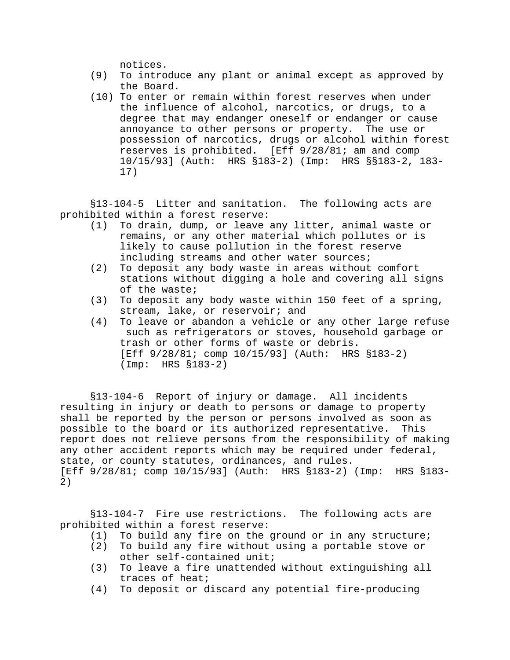notices.

- (9) To introduce any plant or animal except as approved by the Board.
- (10) To enter or remain within forest reserves when under the influence of alcohol, narcotics, or drugs, to a degree that may endanger oneself or endanger or cause annoyance to other persons or property. The use or possession of narcotics, drugs or alcohol within forest reserves is prohibited. [Eff 9/28/81; am and comp 10/15/93] (Auth: HRS §183-2) (Imp: HRS §§183-2, 183- 17)

§13-104-5 Litter and sanitation. The following acts are prohibited within a forest reserve:

- (1) To drain, dump, or leave any litter, animal waste or remains, or any other material which pollutes or is likely to cause pollution in the forest reserve including streams and other water sources;
- (2) To deposit any body waste in areas without comfort stations without digging a hole and covering all signs of the waste;
- (3) To deposit any body waste within 150 feet of a spring, stream, lake, or reservoir; and
- (4) To leave or abandon a vehicle or any other large refuse such as refrigerators or stoves, household garbage or trash or other forms of waste or debris. [Eff  $9/28/81$ ; comp  $10/15/93$ ] (Auth: HRS §183-2) (Imp: HRS §183-2)

§13-104-6 Report of injury or damage. All incidents resulting in injury or death to persons or damage to property shall be reported by the person or persons involved as soon as possible to the board or its authorized representative. This report does not relieve persons from the responsibility of making any other accident reports which may be required under federal, state, or county statutes, ordinances, and rules. [Eff 9/28/81; comp 10/15/93] (Auth: HRS §183-2) (Imp: HRS §183- 2)

§13-104-7 Fire use restrictions. The following acts are prohibited within a forest reserve:

- (1) To build any fire on the ground or in any structure;
- (2) To build any fire without using a portable stove or other self-contained unit;
- (3) To leave a fire unattended without extinguishing all traces of heat;
- (4) To deposit or discard any potential fire-producing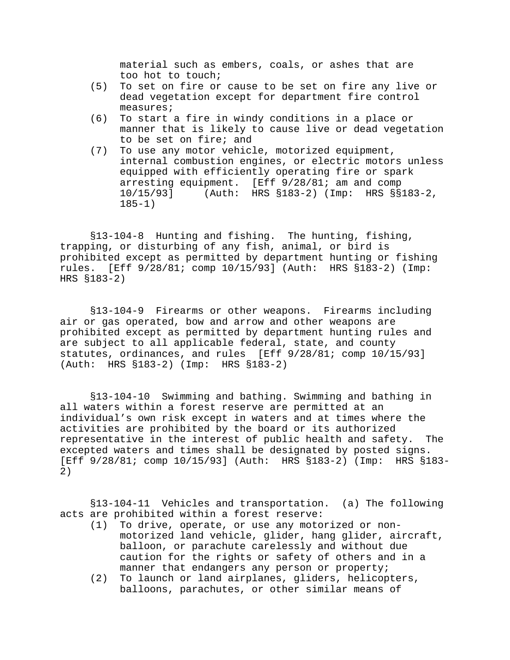material such as embers, coals, or ashes that are too hot to touch;

- (5) To set on fire or cause to be set on fire any live or dead vegetation except for department fire control measures;
- (6) To start a fire in windy conditions in a place or manner that is likely to cause live or dead vegetation to be set on fire; and
- (7) To use any motor vehicle, motorized equipment, internal combustion engines, or electric motors unless equipped with efficiently operating fire or spark arresting equipment. [Eff 9/28/81; am and comp 10/15/93] (Auth: HRS §183-2) (Imp: HRS §§183-2,  $185 - 1)$

§13-104-8 Hunting and fishing. The hunting, fishing, trapping, or disturbing of any fish, animal, or bird is prohibited except as permitted by department hunting or fishing rules. [Eff 9/28/81; comp 10/15/93] (Auth: HRS §183-2) (Imp: HRS §183-2)

§13-104-9 Firearms or other weapons. Firearms including air or gas operated, bow and arrow and other weapons are prohibited except as permitted by department hunting rules and are subject to all applicable federal, state, and county statutes, ordinances, and rules [Eff 9/28/81; comp 10/15/93] (Auth: HRS §183-2) (Imp: HRS §183-2)

§13-104-10 Swimming and bathing. Swimming and bathing in all waters within a forest reserve are permitted at an individual's own risk except in waters and at times where the activities are prohibited by the board or its authorized representative in the interest of public health and safety. The excepted waters and times shall be designated by posted signs. [Eff 9/28/81; comp 10/15/93] (Auth: HRS §183-2) (Imp: HRS §183- 2)

§13-104-11 Vehicles and transportation. (a) The following acts are prohibited within a forest reserve:

- (1) To drive, operate, or use any motorized or nonmotorized land vehicle, glider, hang glider, aircraft, balloon, or parachute carelessly and without due caution for the rights or safety of others and in a manner that endangers any person or property;
- (2) To launch or land airplanes, gliders, helicopters, balloons, parachutes, or other similar means of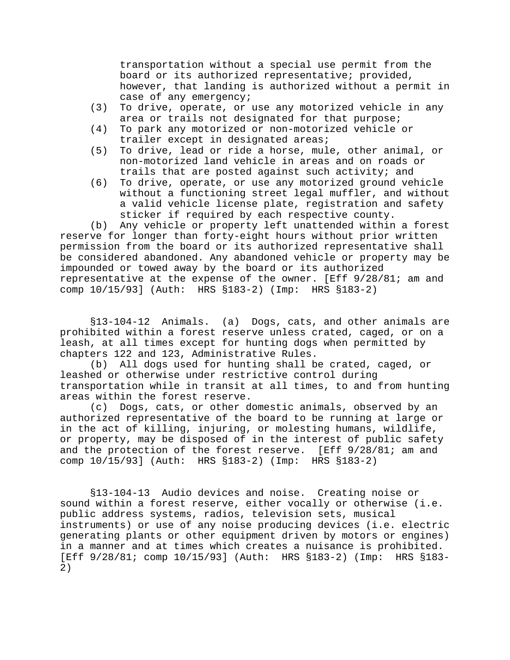transportation without a special use permit from the board or its authorized representative; provided, however, that landing is authorized without a permit in case of any emergency;

- (3) To drive, operate, or use any motorized vehicle in any area or trails not designated for that purpose;
- (4) To park any motorized or non-motorized vehicle or trailer except in designated areas;
- (5) To drive, lead or ride a horse, mule, other animal, or non-motorized land vehicle in areas and on roads or trails that are posted against such activity; and
- (6) To drive, operate, or use any motorized ground vehicle without a functioning street legal muffler, and without a valid vehicle license plate, registration and safety sticker if required by each respective county.

(b) Any vehicle or property left unattended within a forest reserve for longer than forty-eight hours without prior written permission from the board or its authorized representative shall be considered abandoned. Any abandoned vehicle or property may be impounded or towed away by the board or its authorized representative at the expense of the owner. [Eff 9/28/81; am and comp 10/15/93] (Auth: HRS §183-2) (Imp: HRS §183-2)

§13-104-12 Animals. (a) Dogs, cats, and other animals are prohibited within a forest reserve unless crated, caged, or on a leash, at all times except for hunting dogs when permitted by chapters 122 and 123, Administrative Rules.

(b) All dogs used for hunting shall be crated, caged, or leashed or otherwise under restrictive control during transportation while in transit at all times, to and from hunting areas within the forest reserve.

(c) Dogs, cats, or other domestic animals, observed by an authorized representative of the board to be running at large or in the act of killing, injuring, or molesting humans, wildlife, or property, may be disposed of in the interest of public safety and the protection of the forest reserve. [Eff 9/28/81; am and comp 10/15/93] (Auth: HRS §183-2) (Imp: HRS §183-2)

§13-104-13 Audio devices and noise. Creating noise or sound within a forest reserve, either vocally or otherwise (i.e. public address systems, radios, television sets, musical instruments) or use of any noise producing devices (i.e. electric generating plants or other equipment driven by motors or engines) in a manner and at times which creates a nuisance is prohibited. [Eff 9/28/81; comp 10/15/93] (Auth: HRS §183-2) (Imp: HRS §183- 2)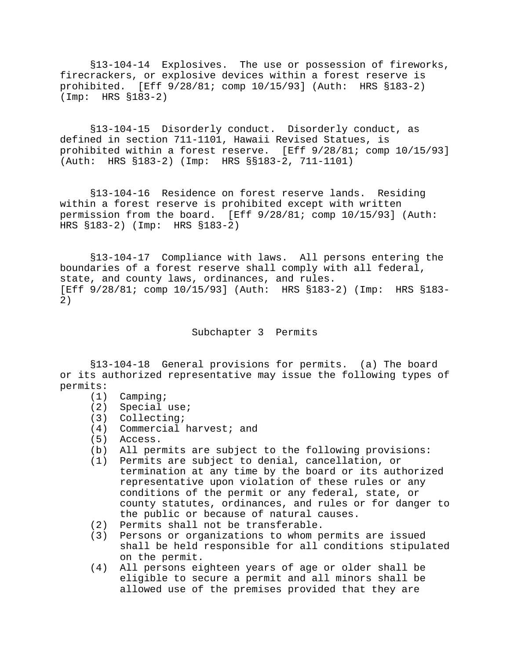§13-104-14 Explosives. The use or possession of fireworks, firecrackers, or explosive devices within a forest reserve is prohibited. [Eff 9/28/81; comp 10/15/93] (Auth: HRS §183-2) (Imp: HRS §183-2)

§13-104-15 Disorderly conduct. Disorderly conduct, as defined in section 711-1101, Hawaii Revised Statues, is prohibited within a forest reserve. [Eff 9/28/81; comp 10/15/93] (Auth: HRS §183-2) (Imp: HRS §§183-2, 711-1101)

§13-104-16 Residence on forest reserve lands. Residing within a forest reserve is prohibited except with written permission from the board. [Eff 9/28/81; comp 10/15/93] (Auth: HRS §183-2) (Imp: HRS §183-2)

§13-104-17 Compliance with laws. All persons entering the boundaries of a forest reserve shall comply with all federal, state, and county laws, ordinances, and rules. [Eff 9/28/81; comp 10/15/93] (Auth: HRS §183-2) (Imp: HRS §183- 2)

Subchapter 3 Permits

§13-104-18 General provisions for permits. (a) The board or its authorized representative may issue the following types of permits:

- (1) Camping;
- (2) Special use;
- (3) Collecting;
- (4) Commercial harvest; and
- Access.
- (b) All permits are subject to the following provisions:
- (1) Permits are subject to denial, cancellation, or termination at any time by the board or its authorized representative upon violation of these rules or any conditions of the permit or any federal, state, or county statutes, ordinances, and rules or for danger to the public or because of natural causes.
- (2) Permits shall not be transferable.
- (3) Persons or organizations to whom permits are issued shall be held responsible for all conditions stipulated on the permit.
- (4) All persons eighteen years of age or older shall be eligible to secure a permit and all minors shall be allowed use of the premises provided that they are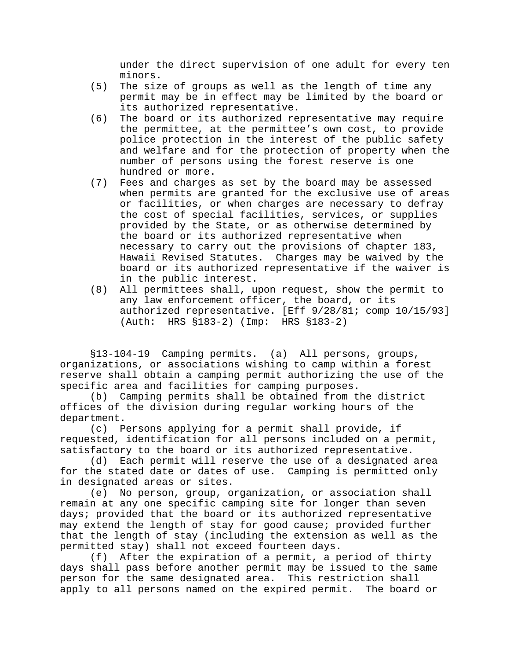under the direct supervision of one adult for every ten minors.

- (5) The size of groups as well as the length of time any permit may be in effect may be limited by the board or its authorized representative.
- (6) The board or its authorized representative may require the permittee, at the permittee's own cost, to provide police protection in the interest of the public safety and welfare and for the protection of property when the number of persons using the forest reserve is one hundred or more.
- (7) Fees and charges as set by the board may be assessed when permits are granted for the exclusive use of areas or facilities, or when charges are necessary to defray the cost of special facilities, services, or supplies provided by the State, or as otherwise determined by the board or its authorized representative when necessary to carry out the provisions of chapter 183, Hawaii Revised Statutes. Charges may be waived by the board or its authorized representative if the waiver is in the public interest.
- (8) All permittees shall, upon request, show the permit to any law enforcement officer, the board, or its authorized representative. [Eff 9/28/81; comp 10/15/93] (Auth: HRS §183-2) (Imp: HRS §183-2)

§13-104-19 Camping permits. (a) All persons, groups, organizations, or associations wishing to camp within a forest reserve shall obtain a camping permit authorizing the use of the specific area and facilities for camping purposes.

(b) Camping permits shall be obtained from the district offices of the division during regular working hours of the department.

(c) Persons applying for a permit shall provide, if requested, identification for all persons included on a permit, satisfactory to the board or its authorized representative.

(d) Each permit will reserve the use of a designated area for the stated date or dates of use. Camping is permitted only in designated areas or sites.

(e) No person, group, organization, or association shall remain at any one specific camping site for longer than seven days; provided that the board or its authorized representative may extend the length of stay for good cause; provided further that the length of stay (including the extension as well as the permitted stay) shall not exceed fourteen days.

(f) After the expiration of a permit, a period of thirty days shall pass before another permit may be issued to the same person for the same designated area. This restriction shall apply to all persons named on the expired permit. The board or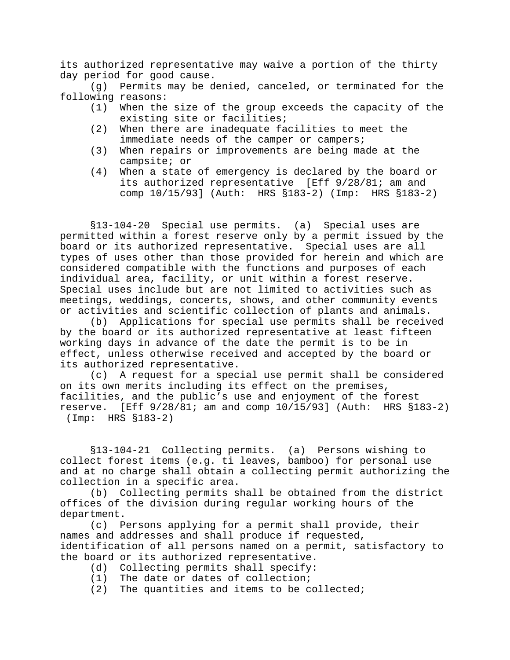its authorized representative may waive a portion of the thirty day period for good cause.

(g) Permits may be denied, canceled, or terminated for the following reasons:

- (1) When the size of the group exceeds the capacity of the existing site or facilities;
- (2) When there are inadequate facilities to meet the immediate needs of the camper or campers;
- (3) When repairs or improvements are being made at the campsite; or
- (4) When a state of emergency is declared by the board or its authorized representative [Eff 9/28/81; am and comp 10/15/93] (Auth: HRS §183-2) (Imp: HRS §183-2)

§13-104-20 Special use permits. (a) Special uses are permitted within a forest reserve only by a permit issued by the board or its authorized representative. Special uses are all types of uses other than those provided for herein and which are considered compatible with the functions and purposes of each individual area, facility, or unit within a forest reserve. Special uses include but are not limited to activities such as meetings, weddings, concerts, shows, and other community events or activities and scientific collection of plants and animals.

(b) Applications for special use permits shall be received by the board or its authorized representative at least fifteen working days in advance of the date the permit is to be in effect, unless otherwise received and accepted by the board or its authorized representative.

(c) A request for a special use permit shall be considered on its own merits including its effect on the premises, facilities, and the public's use and enjoyment of the forest reserve. [Eff 9/28/81; am and comp 10/15/93] (Auth: HRS §183-2) (Imp: HRS §183-2)

§13-104-21 Collecting permits. (a) Persons wishing to collect forest items (e.g. ti leaves, bamboo) for personal use and at no charge shall obtain a collecting permit authorizing the collection in a specific area.

(b) Collecting permits shall be obtained from the district offices of the division during regular working hours of the department.

(c) Persons applying for a permit shall provide, their names and addresses and shall produce if requested, identification of all persons named on a permit, satisfactory to the board or its authorized representative.

- (d) Collecting permits shall specify:
- (1) The date or dates of collection;
- (2) The quantities and items to be collected;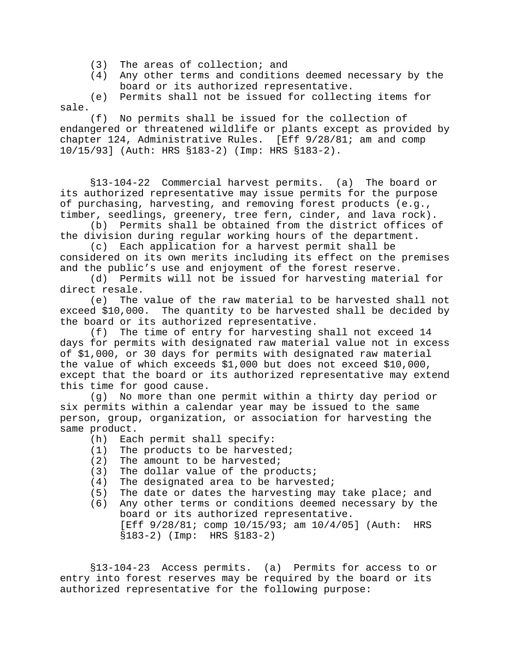- (3) The areas of collection; and
- (4) Any other terms and conditions deemed necessary by the board or its authorized representative.

(e) Permits shall not be issued for collecting items for sale.

(f) No permits shall be issued for the collection of endangered or threatened wildlife or plants except as provided by chapter 124, Administrative Rules. [Eff 9/28/81; am and comp 10/15/93] (Auth: HRS §183-2) (Imp: HRS §183-2).

§13-104-22 Commercial harvest permits. (a) The board or its authorized representative may issue permits for the purpose of purchasing, harvesting, and removing forest products (e.g., timber, seedlings, greenery, tree fern, cinder, and lava rock).

 (b) Permits shall be obtained from the district offices of the division during regular working hours of the department.

 (c) Each application for a harvest permit shall be considered on its own merits including its effect on the premises and the public's use and enjoyment of the forest reserve.

 (d) Permits will not be issued for harvesting material for direct resale.

 (e) The value of the raw material to be harvested shall not exceed \$10,000. The quantity to be harvested shall be decided by the board or its authorized representative.

 (f) The time of entry for harvesting shall not exceed 14 days for permits with designated raw material value not in excess of \$1,000, or 30 days for permits with designated raw material the value of which exceeds \$1,000 but does not exceed \$10,000, except that the board or its authorized representative may extend this time for good cause.

 (g) No more than one permit within a thirty day period or six permits within a calendar year may be issued to the same person, group, organization, or association for harvesting the same product.

- (h) Each permit shall specify:
- (1) The products to be harvested;
- (2) The amount to be harvested;
- (3) The dollar value of the products;
- (4) The designated area to be harvested;
- (5) The date or dates the harvesting may take place; and
- (6) Any other terms or conditions deemed necessary by the board or its authorized representative. [Eff 9/28/81; comp 10/15/93; am 10/4/05] (Auth: HRS §183-2) (Imp: HRS §183-2)

§13-104-23 Access permits. (a) Permits for access to or entry into forest reserves may be required by the board or its authorized representative for the following purpose: